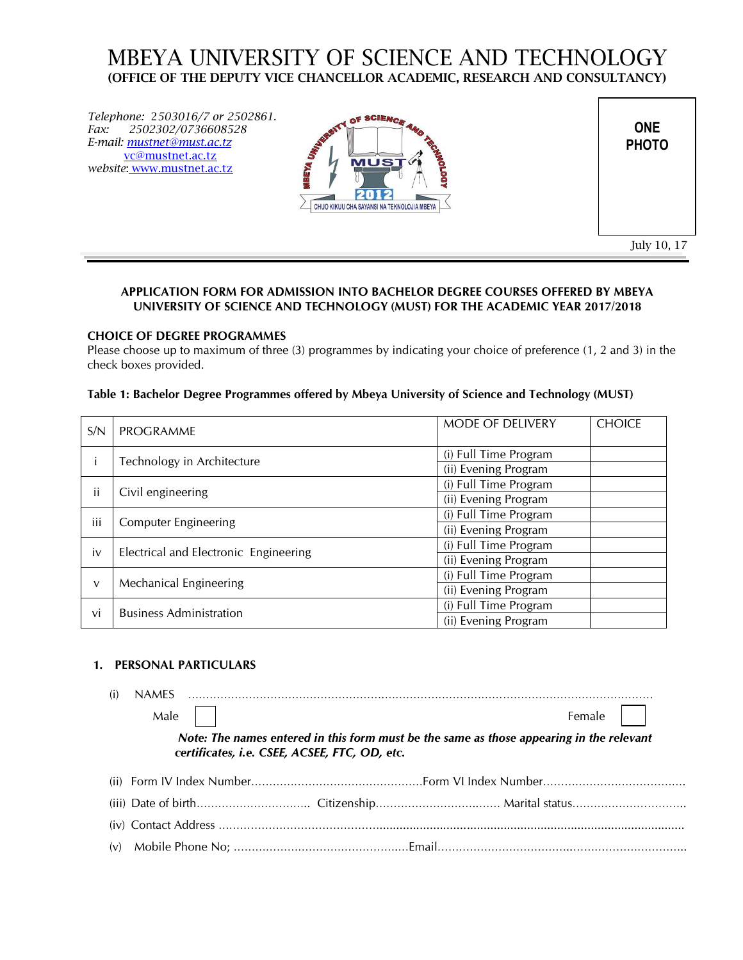# MBEYA UNIVERSITY OF SCIENCE AND TECHNOLOGY **(OFFICE OF THE DEPUTY VICE CHANCELLOR ACADEMIC, RESEARCH AND CONSULTANCY)**

*Telephone:* 2*503016/7 or 2502861. Fax: 2502302/0736608528 E-mail: mustnet@must.ac.tz* [vc@mustnet.ac.tz](mailto:vc@mustnet.ac.tz) *website*: www.mustnet.ac.tz



**ONE PHOTO**

July 10, 17

# **APPLICATION FORM FOR ADMISSION INTO BACHELOR DEGREE COURSES OFFERED BY MBEYA UNIVERSITY OF SCIENCE AND TECHNOLOGY (MUST) FOR THE ACADEMIC YEAR 2017/2018**

## **CHOICE OF DEGREE PROGRAMMES**

Please choose up to maximum of three (3) programmes by indicating your choice of preference (1, 2 and 3) in the check boxes provided.

## **Table 1: Bachelor Degree Programmes offered by Mbeya University of Science and Technology (MUST)**

| S/N | <b>PROGRAMME</b>                      | MODE OF DELIVERY      | <b>CHOICE</b> |
|-----|---------------------------------------|-----------------------|---------------|
|     |                                       | (i) Full Time Program |               |
|     | Technology in Architecture            | (ii) Evening Program  |               |
|     | Civil engineering                     | (i) Full Time Program |               |
| Ħ   |                                       | (ii) Evening Program  |               |
| iii |                                       | (i) Full Time Program |               |
|     | <b>Computer Engineering</b>           | (ii) Evening Program  |               |
| iv  |                                       | (i) Full Time Program |               |
|     | Electrical and Electronic Engineering | (ii) Evening Program  |               |
|     |                                       | (i) Full Time Program |               |
| v   | Mechanical Engineering                | (ii) Evening Program  |               |
|     | <b>Business Administration</b>        | (i) Full Time Program |               |
| vi  |                                       | (ii) Evening Program  |               |

#### **1. PERSONAL PARTICULARS**

| Male |                                               | Female $\vert \vert$                                                                     |  |
|------|-----------------------------------------------|------------------------------------------------------------------------------------------|--|
|      | certificates, i.e. CSEE, ACSEE, FTC, OD, etc. | Note: The names entered in this form must be the same as those appearing in the relevant |  |
|      |                                               |                                                                                          |  |
|      |                                               |                                                                                          |  |
|      |                                               |                                                                                          |  |
|      |                                               |                                                                                          |  |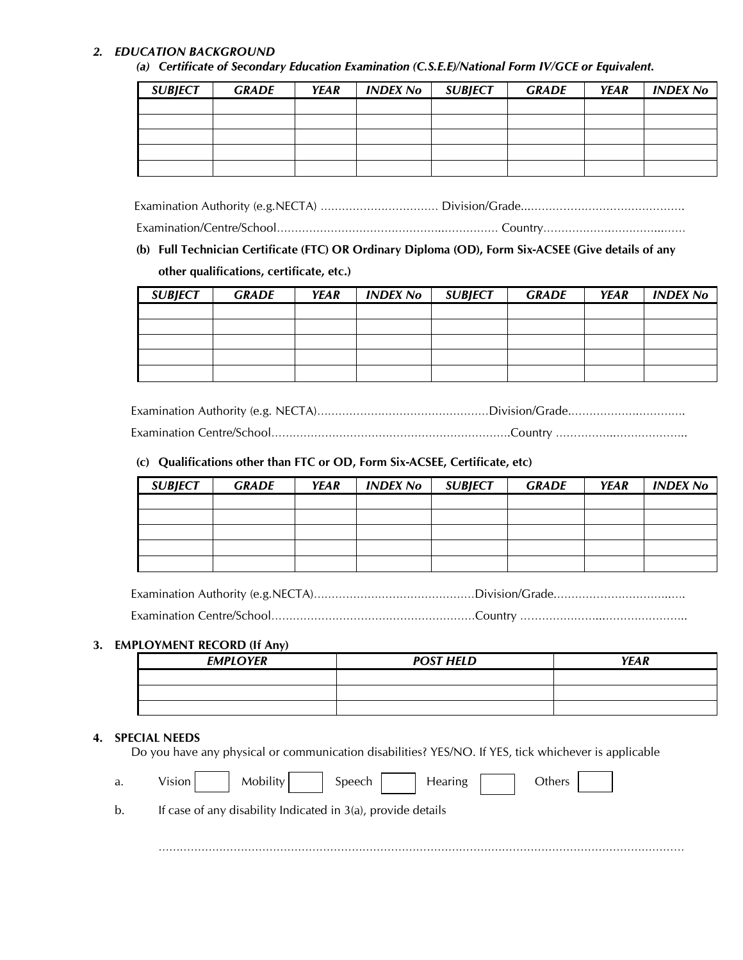# *2. EDUCATION BACKGROUND*

*(a) Certificate of Secondary Education Examination (C.S.E.E)/National Form IV/GCE or Equivalent.*

| <b>SUBJECT</b> | <b>GRADE</b> | <b>YEAR</b> | <b>INDEX No</b> | <b>SUBJECT</b> | <b>GRADE</b> | YEAR | INDEX No |
|----------------|--------------|-------------|-----------------|----------------|--------------|------|----------|
|                |              |             |                 |                |              |      |          |
|                |              |             |                 |                |              |      |          |
|                |              |             |                 |                |              |      |          |
|                |              |             |                 |                |              |      |          |
|                |              |             |                 |                |              |      |          |

Examination Authority (e.g.NECTA) …………………………… Division/Grade...…………………………………….

Examination/Centre/School………………………………………..…………… Country……………….…………...……

# **(b) Full Technician Certificate (FTC) OR Ordinary Diploma (OD), Form Six-ACSEE (Give details of any**

#### **other qualifications, certificate, etc.)**

| <b>SUBJECT</b> | <b>GRADE</b> | <b>YEAR</b> | <b>INDEX No</b> | <b>SUBJECT</b> | <b>GRADE</b> | <b>YEAR</b> | <b>INDEX No</b> |
|----------------|--------------|-------------|-----------------|----------------|--------------|-------------|-----------------|
|                |              |             |                 |                |              |             |                 |
|                |              |             |                 |                |              |             |                 |
|                |              |             |                 |                |              |             |                 |
|                |              |             |                 |                |              |             |                 |
|                |              |             |                 |                |              |             |                 |

Examination Authority (e.g. NECTA)………………………………………Division/Grade.…………………………………………

Examination Centre/School………………………………………………………….Country ……………..………………..

# **(c) Qualifications other than FTC or OD, Form Six-ACSEE, Certificate, etc)**

| <b>SUBJECT</b> | <b>GRADE</b> | YEAR | <b>INDEX No</b> | <b>SUBJECT</b> | <b>GRADE</b> | <b>YEAR</b> | <b>INDEX No</b> |
|----------------|--------------|------|-----------------|----------------|--------------|-------------|-----------------|
|                |              |      |                 |                |              |             |                 |
|                |              |      |                 |                |              |             |                 |
|                |              |      |                 |                |              |             |                 |
|                |              |      |                 |                |              |             |                 |
|                |              |      |                 |                |              |             |                 |

Examination Authority (e.g.NECTA)………………………………………Division/Grade.…………………………..….

Examination Centre/School…………………………………………………Country …………………...…………………..

#### **3. EMPLOYMENT RECORD (If Any)**

| <b>EMPLOYER</b> | <b>POST HELD</b> | <b>YEAR</b> |
|-----------------|------------------|-------------|
|                 |                  |             |
|                 |                  |             |
|                 |                  |             |

#### **4. SPECIAL NEEDS**

Do you have any physical or communication disabilities? YES/NO. If YES, tick whichever is applicable

| a. | <b>Mobility</b><br>Speech<br>Vision<br>Hearing<br>Others     |
|----|--------------------------------------------------------------|
| b. | If case of any disability Indicated in 3(a), provide details |
|    |                                                              |